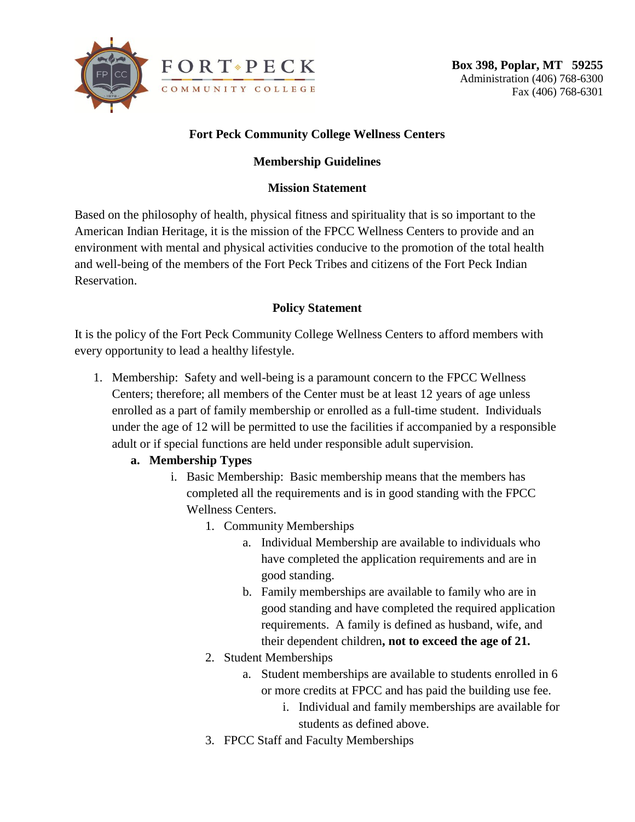

# **Fort Peck Community College Wellness Centers**

## **Membership Guidelines**

### **Mission Statement**

Based on the philosophy of health, physical fitness and spirituality that is so important to the American Indian Heritage, it is the mission of the FPCC Wellness Centers to provide and an environment with mental and physical activities conducive to the promotion of the total health and well-being of the members of the Fort Peck Tribes and citizens of the Fort Peck Indian Reservation.

## **Policy Statement**

It is the policy of the Fort Peck Community College Wellness Centers to afford members with every opportunity to lead a healthy lifestyle.

1. Membership: Safety and well-being is a paramount concern to the FPCC Wellness Centers; therefore; all members of the Center must be at least 12 years of age unless enrolled as a part of family membership or enrolled as a full-time student. Individuals under the age of 12 will be permitted to use the facilities if accompanied by a responsible adult or if special functions are held under responsible adult supervision.

## **a. Membership Types**

- i. Basic Membership: Basic membership means that the members has completed all the requirements and is in good standing with the FPCC Wellness Centers.
	- 1. Community Memberships
		- a. Individual Membership are available to individuals who have completed the application requirements and are in good standing.
		- b. Family memberships are available to family who are in good standing and have completed the required application requirements. A family is defined as husband, wife, and their dependent children**, not to exceed the age of 21.**
	- 2. Student Memberships
		- a. Student memberships are available to students enrolled in 6 or more credits at FPCC and has paid the building use fee.
			- i. Individual and family memberships are available for students as defined above.
	- 3. FPCC Staff and Faculty Memberships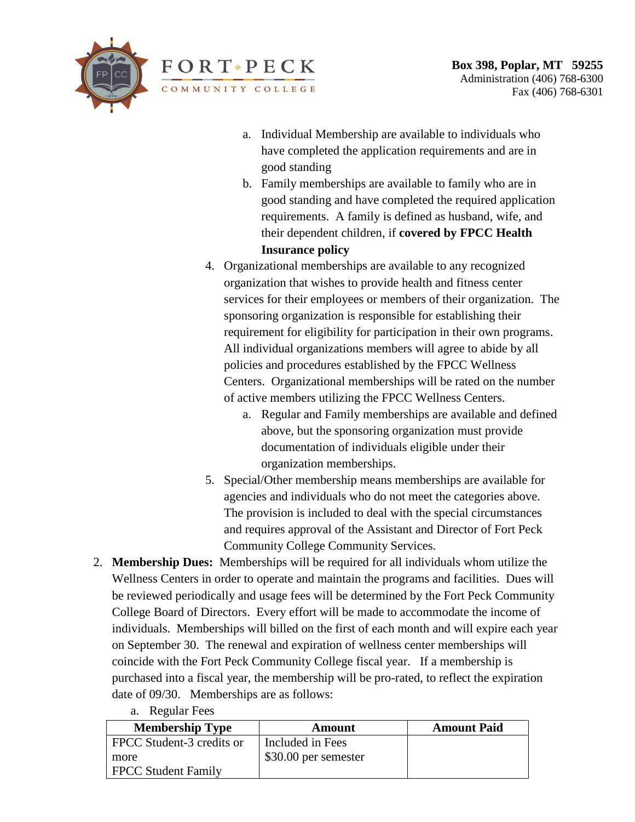

- a. Individual Membership are available to individuals who have completed the application requirements and are in good standing
- b. Family memberships are available to family who are in good standing and have completed the required application requirements. A family is defined as husband, wife, and their dependent children, if **covered by FPCC Health Insurance policy**
- 4. Organizational memberships are available to any recognized organization that wishes to provide health and fitness center services for their employees or members of their organization. The sponsoring organization is responsible for establishing their requirement for eligibility for participation in their own programs. All individual organizations members will agree to abide by all policies and procedures established by the FPCC Wellness Centers. Organizational memberships will be rated on the number of active members utilizing the FPCC Wellness Centers.
	- a. Regular and Family memberships are available and defined above, but the sponsoring organization must provide documentation of individuals eligible under their organization memberships.
- 5. Special/Other membership means memberships are available for agencies and individuals who do not meet the categories above. The provision is included to deal with the special circumstances and requires approval of the Assistant and Director of Fort Peck Community College Community Services.
- 2. **Membership Dues:** Memberships will be required for all individuals whom utilize the Wellness Centers in order to operate and maintain the programs and facilities. Dues will be reviewed periodically and usage fees will be determined by the Fort Peck Community College Board of Directors. Every effort will be made to accommodate the income of individuals. Memberships will billed on the first of each month and will expire each year on September 30. The renewal and expiration of wellness center memberships will coincide with the Fort Peck Community College fiscal year. If a membership is purchased into a fiscal year, the membership will be pro-rated, to reflect the expiration date of 09/30. Memberships are as follows:
	- **Membership Type Amount Amount Paid** FPCC Student-3 credits or more FPCC Student Family Included in Fees \$30.00 per semester
- a. Regular Fees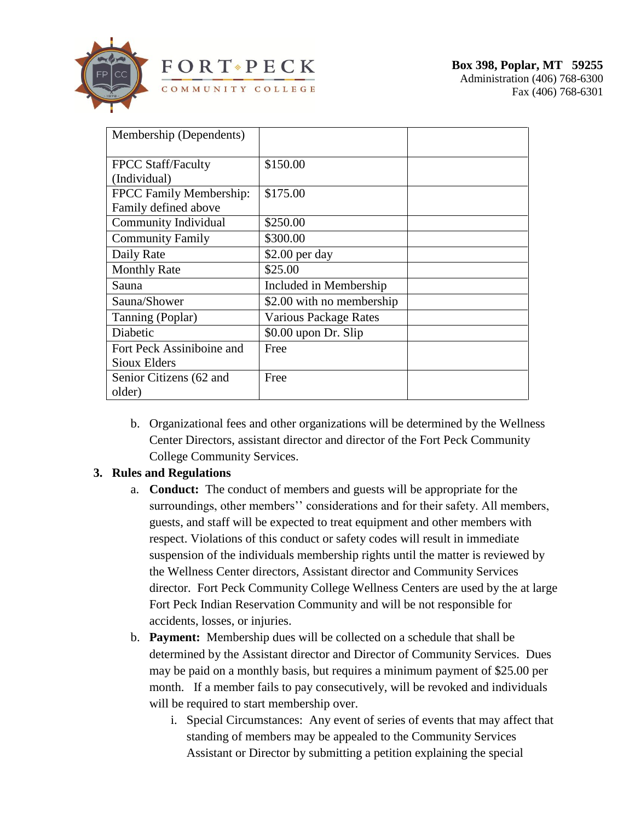

| Membership (Dependents)   |                           |  |
|---------------------------|---------------------------|--|
|                           |                           |  |
|                           | \$150.00                  |  |
| <b>FPCC Staff/Faculty</b> |                           |  |
| (Individual)              |                           |  |
| FPCC Family Membership:   | \$175.00                  |  |
| Family defined above      |                           |  |
| Community Individual      | \$250.00                  |  |
| <b>Community Family</b>   | \$300.00                  |  |
| Daily Rate                | $$2.00$ per day           |  |
| <b>Monthly Rate</b>       | \$25.00                   |  |
| Sauna                     | Included in Membership    |  |
| Sauna/Shower              | \$2.00 with no membership |  |
| Tanning (Poplar)          | Various Package Rates     |  |
| Diabetic                  | $$0.00$ upon Dr. Slip     |  |
| Fort Peck Assiniboine and | Free                      |  |
| <b>Sioux Elders</b>       |                           |  |
| Senior Citizens (62 and   | Free                      |  |
| older)                    |                           |  |

b. Organizational fees and other organizations will be determined by the Wellness Center Directors, assistant director and director of the Fort Peck Community College Community Services.

## **3. Rules and Regulations**

- a. **Conduct:** The conduct of members and guests will be appropriate for the surroundings, other members'' considerations and for their safety. All members, guests, and staff will be expected to treat equipment and other members with respect. Violations of this conduct or safety codes will result in immediate suspension of the individuals membership rights until the matter is reviewed by the Wellness Center directors, Assistant director and Community Services director. Fort Peck Community College Wellness Centers are used by the at large Fort Peck Indian Reservation Community and will be not responsible for accidents, losses, or injuries.
- b. **Payment:** Membership dues will be collected on a schedule that shall be determined by the Assistant director and Director of Community Services. Dues may be paid on a monthly basis, but requires a minimum payment of \$25.00 per month. If a member fails to pay consecutively, will be revoked and individuals will be required to start membership over.
	- i. Special Circumstances: Any event of series of events that may affect that standing of members may be appealed to the Community Services Assistant or Director by submitting a petition explaining the special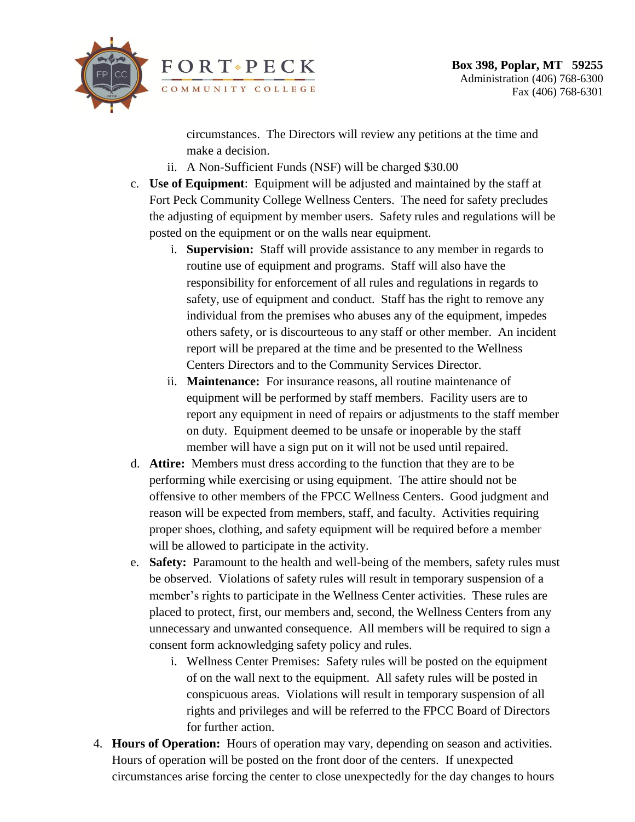

circumstances. The Directors will review any petitions at the time and make a decision.

- ii. A Non-Sufficient Funds (NSF) will be charged \$30.00
- c. **Use of Equipment**: Equipment will be adjusted and maintained by the staff at Fort Peck Community College Wellness Centers. The need for safety precludes the adjusting of equipment by member users. Safety rules and regulations will be posted on the equipment or on the walls near equipment.
	- i. **Supervision:** Staff will provide assistance to any member in regards to routine use of equipment and programs. Staff will also have the responsibility for enforcement of all rules and regulations in regards to safety, use of equipment and conduct. Staff has the right to remove any individual from the premises who abuses any of the equipment, impedes others safety, or is discourteous to any staff or other member. An incident report will be prepared at the time and be presented to the Wellness Centers Directors and to the Community Services Director.
	- ii. **Maintenance:** For insurance reasons, all routine maintenance of equipment will be performed by staff members. Facility users are to report any equipment in need of repairs or adjustments to the staff member on duty. Equipment deemed to be unsafe or inoperable by the staff member will have a sign put on it will not be used until repaired.
- d. **Attire:** Members must dress according to the function that they are to be performing while exercising or using equipment. The attire should not be offensive to other members of the FPCC Wellness Centers. Good judgment and reason will be expected from members, staff, and faculty. Activities requiring proper shoes, clothing, and safety equipment will be required before a member will be allowed to participate in the activity.
- e. **Safety:** Paramount to the health and well-being of the members, safety rules must be observed. Violations of safety rules will result in temporary suspension of a member's rights to participate in the Wellness Center activities. These rules are placed to protect, first, our members and, second, the Wellness Centers from any unnecessary and unwanted consequence. All members will be required to sign a consent form acknowledging safety policy and rules.
	- i. Wellness Center Premises: Safety rules will be posted on the equipment of on the wall next to the equipment. All safety rules will be posted in conspicuous areas. Violations will result in temporary suspension of all rights and privileges and will be referred to the FPCC Board of Directors for further action.
- 4. **Hours of Operation:** Hours of operation may vary, depending on season and activities. Hours of operation will be posted on the front door of the centers. If unexpected circumstances arise forcing the center to close unexpectedly for the day changes to hours